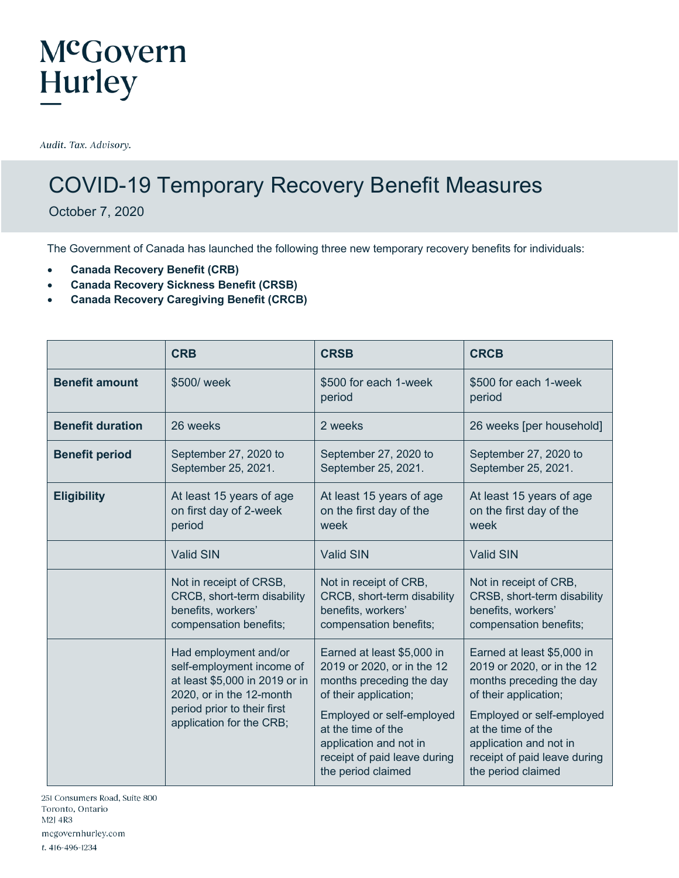#### McGovern Hurley

Audit. Tax. Advisory.

#### COVID-19 Temporary Recovery Benefit Measures

October 7, 2020

The Government of Canada has launched the following three new temporary recovery benefits for individuals:

- **Canada Recovery Benefit (CRB)**
- **Canada Recovery Sickness Benefit (CRSB)**
- **Canada Recovery Caregiving Benefit (CRCB)**

|                         | <b>CRB</b>                                                                                                                                                                  | <b>CRSB</b>                                                                                                                                                                                                                                      | <b>CRCB</b>                                                                                                                                                                                                                                      |
|-------------------------|-----------------------------------------------------------------------------------------------------------------------------------------------------------------------------|--------------------------------------------------------------------------------------------------------------------------------------------------------------------------------------------------------------------------------------------------|--------------------------------------------------------------------------------------------------------------------------------------------------------------------------------------------------------------------------------------------------|
| <b>Benefit amount</b>   | \$500/ week                                                                                                                                                                 | \$500 for each 1-week<br>period                                                                                                                                                                                                                  | \$500 for each 1-week<br>period                                                                                                                                                                                                                  |
| <b>Benefit duration</b> | 26 weeks                                                                                                                                                                    | 2 weeks                                                                                                                                                                                                                                          | 26 weeks [per household]                                                                                                                                                                                                                         |
| <b>Benefit period</b>   | September 27, 2020 to<br>September 25, 2021.                                                                                                                                | September 27, 2020 to<br>September 25, 2021.                                                                                                                                                                                                     | September 27, 2020 to<br>September 25, 2021.                                                                                                                                                                                                     |
| <b>Eligibility</b>      | At least 15 years of age<br>on first day of 2-week<br>period                                                                                                                | At least 15 years of age<br>on the first day of the<br>week                                                                                                                                                                                      | At least 15 years of age<br>on the first day of the<br>week                                                                                                                                                                                      |
|                         | <b>Valid SIN</b>                                                                                                                                                            | <b>Valid SIN</b>                                                                                                                                                                                                                                 | <b>Valid SIN</b>                                                                                                                                                                                                                                 |
|                         | Not in receipt of CRSB,<br>CRCB, short-term disability<br>benefits, workers'<br>compensation benefits;                                                                      | Not in receipt of CRB,<br>CRCB, short-term disability<br>benefits, workers'<br>compensation benefits;                                                                                                                                            | Not in receipt of CRB,<br>CRSB, short-term disability<br>benefits, workers'<br>compensation benefits;                                                                                                                                            |
|                         | Had employment and/or<br>self-employment income of<br>at least \$5,000 in 2019 or in<br>2020, or in the 12-month<br>period prior to their first<br>application for the CRB; | Earned at least \$5,000 in<br>2019 or 2020, or in the 12<br>months preceding the day<br>of their application;<br>Employed or self-employed<br>at the time of the<br>application and not in<br>receipt of paid leave during<br>the period claimed | Earned at least \$5,000 in<br>2019 or 2020, or in the 12<br>months preceding the day<br>of their application;<br>Employed or self-employed<br>at the time of the<br>application and not in<br>receipt of paid leave during<br>the period claimed |

251 Consumers Road, Suite 800 Toronto, Ontario M2J 4R3 mcgovernhurley.com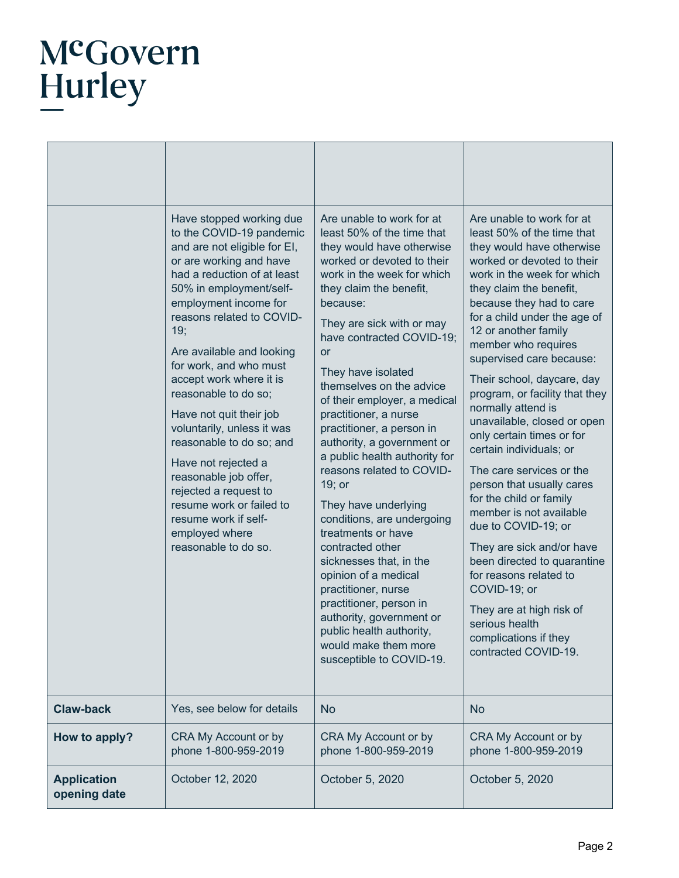# McGovern<br>Hurley

|                                    | Have stopped working due<br>to the COVID-19 pandemic<br>and are not eligible for EI,<br>or are working and have<br>had a reduction of at least<br>50% in employment/self-<br>employment income for<br>reasons related to COVID-<br>19;<br>Are available and looking<br>for work, and who must<br>accept work where it is<br>reasonable to do so;<br>Have not quit their job<br>voluntarily, unless it was<br>reasonable to do so; and<br>Have not rejected a<br>reasonable job offer,<br>rejected a request to<br>resume work or failed to<br>resume work if self-<br>employed where<br>reasonable to do so. | Are unable to work for at<br>least 50% of the time that<br>they would have otherwise<br>worked or devoted to their<br>work in the week for which<br>they claim the benefit,<br>because:<br>They are sick with or may<br>have contracted COVID-19;<br><b>or</b><br>They have isolated<br>themselves on the advice<br>of their employer, a medical<br>practitioner, a nurse<br>practitioner, a person in<br>authority, a government or<br>a public health authority for<br>reasons related to COVID-<br>$19;$ or<br>They have underlying<br>conditions, are undergoing<br>treatments or have<br>contracted other<br>sicknesses that, in the<br>opinion of a medical<br>practitioner, nurse<br>practitioner, person in<br>authority, government or<br>public health authority,<br>would make them more<br>susceptible to COVID-19. | Are unable to work for at<br>least 50% of the time that<br>they would have otherwise<br>worked or devoted to their<br>work in the week for which<br>they claim the benefit,<br>because they had to care<br>for a child under the age of<br>12 or another family<br>member who requires<br>supervised care because:<br>Their school, daycare, day<br>program, or facility that they<br>normally attend is<br>unavailable, closed or open<br>only certain times or for<br>certain individuals; or<br>The care services or the<br>person that usually cares<br>for the child or family<br>member is not available<br>due to COVID-19; or<br>They are sick and/or have<br>been directed to quarantine<br>for reasons related to<br>COVID-19; or<br>They are at high risk of<br>serious health<br>complications if they<br>contracted COVID-19. |
|------------------------------------|--------------------------------------------------------------------------------------------------------------------------------------------------------------------------------------------------------------------------------------------------------------------------------------------------------------------------------------------------------------------------------------------------------------------------------------------------------------------------------------------------------------------------------------------------------------------------------------------------------------|---------------------------------------------------------------------------------------------------------------------------------------------------------------------------------------------------------------------------------------------------------------------------------------------------------------------------------------------------------------------------------------------------------------------------------------------------------------------------------------------------------------------------------------------------------------------------------------------------------------------------------------------------------------------------------------------------------------------------------------------------------------------------------------------------------------------------------|--------------------------------------------------------------------------------------------------------------------------------------------------------------------------------------------------------------------------------------------------------------------------------------------------------------------------------------------------------------------------------------------------------------------------------------------------------------------------------------------------------------------------------------------------------------------------------------------------------------------------------------------------------------------------------------------------------------------------------------------------------------------------------------------------------------------------------------------|
| <b>Claw-back</b>                   | Yes, see below for details                                                                                                                                                                                                                                                                                                                                                                                                                                                                                                                                                                                   | <b>No</b>                                                                                                                                                                                                                                                                                                                                                                                                                                                                                                                                                                                                                                                                                                                                                                                                                       | <b>No</b>                                                                                                                                                                                                                                                                                                                                                                                                                                                                                                                                                                                                                                                                                                                                                                                                                                  |
| How to apply?                      | CRA My Account or by<br>phone 1-800-959-2019                                                                                                                                                                                                                                                                                                                                                                                                                                                                                                                                                                 | CRA My Account or by<br>phone 1-800-959-2019                                                                                                                                                                                                                                                                                                                                                                                                                                                                                                                                                                                                                                                                                                                                                                                    | CRA My Account or by<br>phone 1-800-959-2019                                                                                                                                                                                                                                                                                                                                                                                                                                                                                                                                                                                                                                                                                                                                                                                               |
| <b>Application</b><br>opening date | October 12, 2020                                                                                                                                                                                                                                                                                                                                                                                                                                                                                                                                                                                             | October 5, 2020                                                                                                                                                                                                                                                                                                                                                                                                                                                                                                                                                                                                                                                                                                                                                                                                                 | October 5, 2020                                                                                                                                                                                                                                                                                                                                                                                                                                                                                                                                                                                                                                                                                                                                                                                                                            |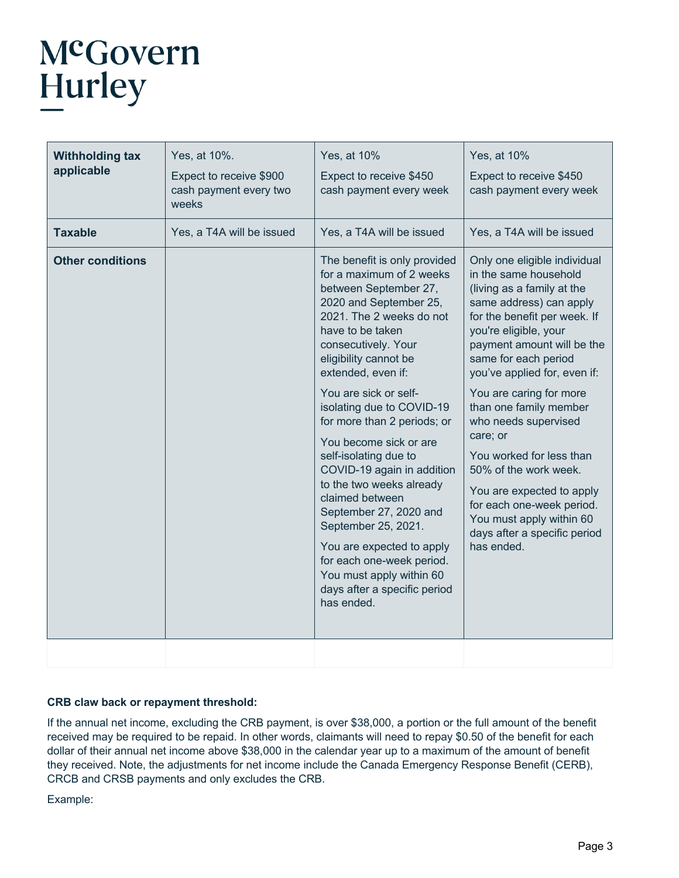## McGovern Hurley

| <b>Withholding tax</b><br>applicable | Yes, at 10%.<br>Expect to receive \$900<br>cash payment every two<br>weeks | Yes, at 10%<br>Expect to receive \$450<br>cash payment every week                                                                                                                                                                                                                                                                                                                                                                                                                                                                                                                                                                           | Yes, at 10%<br>Expect to receive \$450<br>cash payment every week                                                                                                                                                                                                                                                                                                                                                                                                                                                                               |
|--------------------------------------|----------------------------------------------------------------------------|---------------------------------------------------------------------------------------------------------------------------------------------------------------------------------------------------------------------------------------------------------------------------------------------------------------------------------------------------------------------------------------------------------------------------------------------------------------------------------------------------------------------------------------------------------------------------------------------------------------------------------------------|-------------------------------------------------------------------------------------------------------------------------------------------------------------------------------------------------------------------------------------------------------------------------------------------------------------------------------------------------------------------------------------------------------------------------------------------------------------------------------------------------------------------------------------------------|
| <b>Taxable</b>                       | Yes, a T4A will be issued                                                  | Yes, a T4A will be issued                                                                                                                                                                                                                                                                                                                                                                                                                                                                                                                                                                                                                   | Yes, a T4A will be issued                                                                                                                                                                                                                                                                                                                                                                                                                                                                                                                       |
| <b>Other conditions</b>              |                                                                            | The benefit is only provided<br>for a maximum of 2 weeks<br>between September 27,<br>2020 and September 25,<br>2021. The 2 weeks do not<br>have to be taken<br>consecutively. Your<br>eligibility cannot be<br>extended, even if:<br>You are sick or self-<br>isolating due to COVID-19<br>for more than 2 periods; or<br>You become sick or are<br>self-isolating due to<br>COVID-19 again in addition<br>to the two weeks already<br>claimed between<br>September 27, 2020 and<br>September 25, 2021.<br>You are expected to apply<br>for each one-week period.<br>You must apply within 60<br>days after a specific period<br>has ended. | Only one eligible individual<br>in the same household<br>(living as a family at the<br>same address) can apply<br>for the benefit per week. If<br>you're eligible, your<br>payment amount will be the<br>same for each period<br>you've applied for, even if:<br>You are caring for more<br>than one family member<br>who needs supervised<br>care; or<br>You worked for less than<br>50% of the work week.<br>You are expected to apply<br>for each one-week period.<br>You must apply within 60<br>days after a specific period<br>has ended. |
|                                      |                                                                            |                                                                                                                                                                                                                                                                                                                                                                                                                                                                                                                                                                                                                                             |                                                                                                                                                                                                                                                                                                                                                                                                                                                                                                                                                 |

#### **CRB claw back or repayment threshold:**

If the annual net income, excluding the CRB payment, is over \$38,000, a portion or the full amount of the benefit received may be required to be repaid. In other words, claimants will need to repay \$0.50 of the benefit for each dollar of their annual net income above \$38,000 in the calendar year up to a maximum of the amount of benefit they received. Note, the adjustments for net income include the Canada Emergency Response Benefit (CERB), CRCB and CRSB payments and only excludes the CRB.

Example: